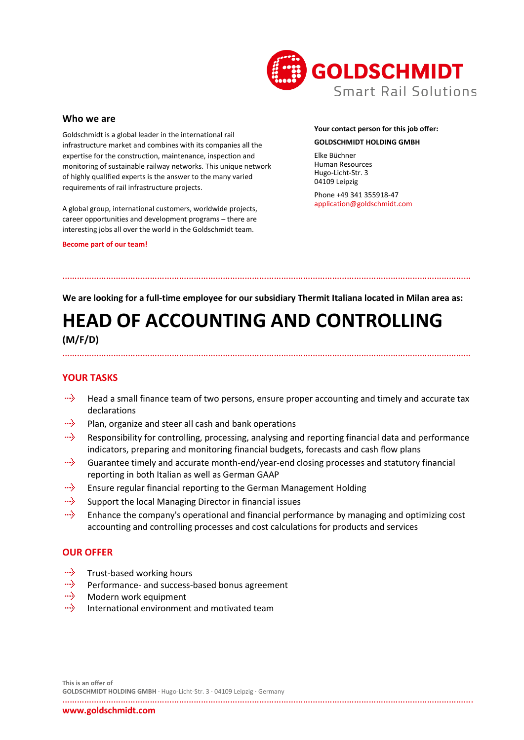

#### **Who we are**

Goldschmidt is a global leader in the international rail infrastructure market and combines with its companies all the expertise for the construction, maintenance, inspection and monitoring of sustainable railway networks. This unique network of highly qualified experts is the answer to the many varied requirements of rail infrastructure projects.

A global group, international customers, worldwide projects, career opportunities and development programs – there are interesting jobs all over the world in the Goldschmidt team.

#### **Become part of our team!**

### **Your contact person for this job offer: GOLDSCHMIDT HOLDING GMBH**

Elke Büchner Human Resources Hugo-Licht-Str. 3 04109 Leipzig

Phone +49 341 355918-47 application@goldschmidt.com

**We are looking for a full-time employee for our subsidiary Thermit Italiana located in Milan area as:**

……………………………………………………………………………………………………………………………………………………

# **HEAD OF ACCOUNTING AND CONTROLLING (M/F/D)**

## ……………………………………………………………………………………………………………………………………………………

### **YOUR TASKS**

- miş. Head a small finance team of two persons, ensure proper accounting and timely and accurate tax declarations
- miş. Plan, organize and steer all cash and bank operations
- alija. Responsibility for controlling, processing, analysing and reporting financial data and performance indicators, preparing and monitoring financial budgets, forecasts and cash flow plans
- aliyo Guarantee timely and accurate month-end/year-end closing processes and statutory financial reporting in both Italian as well as German GAAP
- miş. Ensure regular financial reporting to the German Management Holding
- miy. Support the local Managing Director in financial issues
- цß. Enhance the company's operational and financial performance by managing and optimizing cost accounting and controlling processes and cost calculations for products and services

### **OUR OFFER**

- alije. Trust-based working hours
- aliyo Performance- and success-based bonus agreement
- milje . Modern work equipment
- miy. International environment and motivated team

**This is an offer of GOLDSCHMIDT HOLDING GMBH** · Hugo-Licht-Str. 3 · 04109 Leipzig · Germany

…………………………………………………………………………………………………………………………………………………….